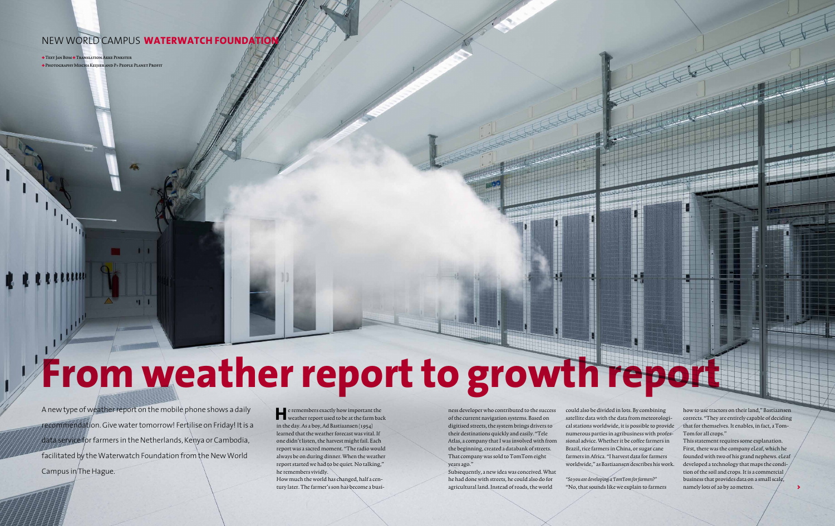P+ **december + januari + februari 2014/2015**

P+ **december + januari + februari 2014/2015**

**31**

### **NEW WORLD CAMPUS WATERWATCH FOUNDATIO**

+ Text Jan Bom + Translation Akke Pinkster + Photography Mischa Keijser and P+ People Planet Profit

# **From weather report to growth report**

**He** remembers exactly how important the weather report used to be at the farm back in the day. As a boy, Ad Bastiaansen (1954) learned that the weather forecast was vital. If one didn't listen, the harvest might fail. Each report was a sacred moment. "The radio would always be on during dinner. When the weather report started we had to be quiet. No talking," he remembers vividly.

How much the world has changed, half a century later. The farmer's son has become a busi-

ness developer who contributed to the success of the current navigation systems. Based on digitised streets, the system brings drivers to their destinations quickly and easily. "Tele Atlas, a company that I was involved with from the beginning, created a databank of streets. That company was sold to TomTom eight years ago."

A new type of weather report on the mobile phone shows a daily recommendation. Give water tomorrow! Fertilise on Friday! It is a data service for farmers in the Netherlands, Kenya or Cambodia, facilitated by the Waterwatch Foundation from the New World Campus in The Hague.

Subsequently, a new idea was conceived. What he had done with streets, he could also do for agricultural land. Instead of roads, the world

could also be divided in lots. By combining satellite data with the data from meteorological stations worldwide, it is possible to provide numerous parties in agribusiness with professional advice. Whether it be coffee farmers in Brazil, rice farmers in China, or sugar cane farmers in Africa. "I harvest data for farmers worldwide," as Bastiaansen describes his work.

"So you are developing a TomTom for farmers?" "No, that sounds like we explain to farmers

how to use tractors on their land," Bastiaansen corrects. "They are entirely capable of deciding that for themselves. It enables, in fact, a Tom-Tom for all crops."

This statement requires some explanation. First, there was the company eLeaf, which he founded with two of his grand nephews. eLeaf developed a technology that maps the condition of the soil and crops. It is a commercial business that provides data on a small scale, namely lots of 20 by 20 metres.

>